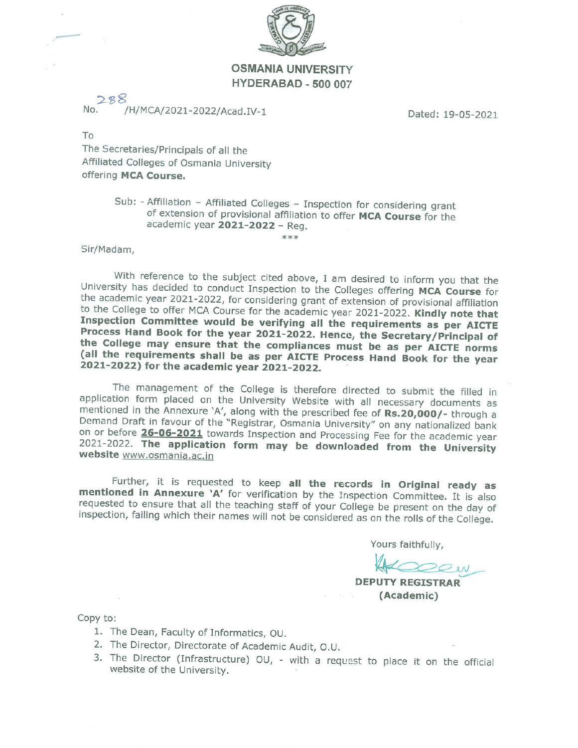

## **OSMANIA UNIVERSITY** HYDERABAD - 500 007

/H/MCA/2021-2022/Acad.IV-1

Dated: 19-05-2021

To

The Secretaries/Principals of all the Affiliated Colleges of Osmania University offering MCA Course.

### Sub: - Affiliation - Affiliated Colleges - Inspection for considering grant of extension of provisional affiliation to offer MCA Course for the academic year 2021-2022 - Reg.

\*\*\*

#### Sir/Madam,

With reference to the subject cited above, I am desired to inform you that the University has decided to conduct Inspection to the Colleges offering MCA Course for the academic year 2021-2022, for considering grant of extension of provisional affiliation to the College to offer MCA Course for the academic year 2021-2022. Kindly note that Inspection Committee would be verifying all the requirements as per AICTE Process Hand Book for the year 2021-2022. Hence, the Secretary/Principal of the College may ensure that the compliances must be as per AICTE norms (all the requirements shall be as per AICTE Process Hand Book for the year 2021-2022) for the academic year 2021-2022.

The management of the College is therefore directed to submit the filled in application form placed on the University Website with all necessary documents as mentioned in the Annexure 'A', along with the prescribed fee of Rs.20,000/- through a Demand Draft in favour of the "Registrar, Osmania University" on any nationalized bank on or before 26-06-2021 towards Inspection and Processing Fee for the academic year 2021-2022. The application form may be downloaded from the University website www.osmania.ac.in

Further, it is requested to keep all the records in Original ready as mentioned in Annexure 'A' for verification by the Inspection Committee. It is also requested to ensure that all the teaching staff of your College be present on the day of inspection, failing which their names will not be considered as on the rolls of the College.

Yours faithfully,

**DEPUTY REGISTRAR** (Academic)

Copy to:

- 1. The Dean, Faculty of Informatics, OU.
- 2. The Director, Directorate of Academic Audit, O.U.
- 3. The Director (Infrastructure) OU, with a request to place it on the official website of the University.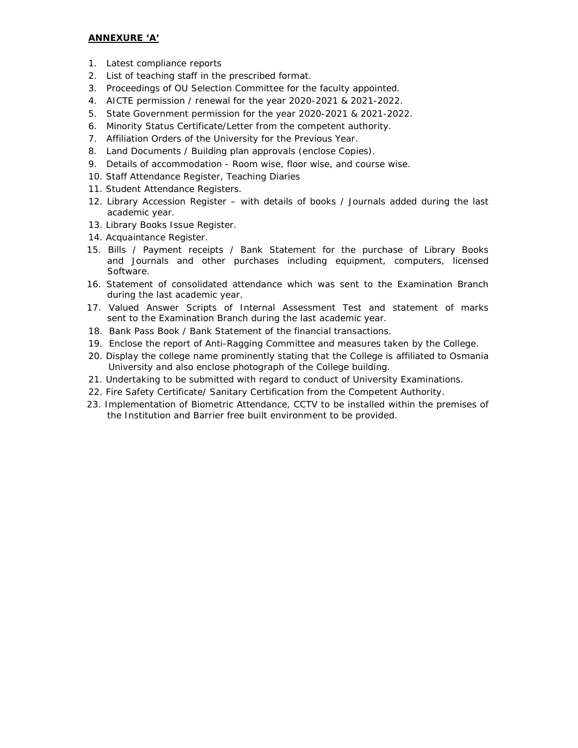#### **ANNEXURE 'A'**

- 1. Latest compliance reports
- 2. List of teaching staff in the prescribed format.
- 3. Proceedings of OU Selection Committee for the faculty appointed.
- 4. AICTE permission / renewal for the year 2020-2021 & 2021-2022.
- 5. State Government permission for the year 2020-2021 & 2021-2022.
- 6. Minority Status Certificate/Letter from the competent authority.
- 7. Affiliation Orders of the University for the Previous Year.
- 8. Land Documents / Building plan approvals (enclose Copies).
- 9. Details of accommodation Room wise, floor wise, and course wise.
- 10. Staff Attendance Register, Teaching Diaries
- 11. Student Attendance Registers.
- 12. Library Accession Register with details of books / Journals added during the last academic year.
- 13. Library Books Issue Register.
- 14. Acquaintance Register.
- 15. Bills / Payment receipts / Bank Statement for the purchase of Library Books and Journals and other purchases including equipment, computers, licensed Software.
- 16. Statement of consolidated attendance which was sent to the Examination Branch during the last academic year.
- 17. Valued Answer Scripts of Internal Assessment Test and statement of marks sent to the Examination Branch during the last academic year.
- 18. Bank Pass Book / Bank Statement of the financial transactions.
- 19. Enclose the report of Anti-Ragging Committee and measures taken by the College.
- 20. Display the college name prominently stating that the College is affiliated to Osmania University and also enclose photograph of the College building.
- 21. Undertaking to be submitted with regard to conduct of University Examinations.
- 22. Fire Safety Certificate/ Sanitary Certification from the Competent Authority.
- 23. Implementation of Biometric Attendance, CCTV to be installed within the premises of the Institution and Barrier free built environment to be provided.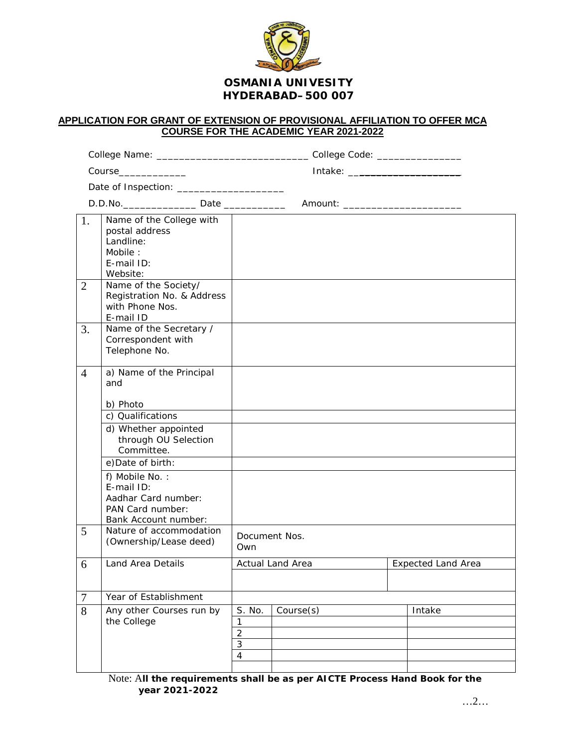

## **APPLICATION FOR GRANT OF EXTENSION OF PROVISIONAL AFFILIATION TO OFFER MCA COURSE FOR THE ACADEMIC YEAR 2021-2022**

|                |                                                                                                                                                                                                                                                        | College Name: __________________________________College Code: __________________ |                                      |  |                           |
|----------------|--------------------------------------------------------------------------------------------------------------------------------------------------------------------------------------------------------------------------------------------------------|----------------------------------------------------------------------------------|--------------------------------------|--|---------------------------|
|                | $Course$ _____________                                                                                                                                                                                                                                 |                                                                                  | Intake: ________________________     |  |                           |
|                |                                                                                                                                                                                                                                                        |                                                                                  |                                      |  |                           |
|                |                                                                                                                                                                                                                                                        |                                                                                  | Amount: ____________________________ |  |                           |
| 1.             | Name of the College with<br>postal address<br>Landline:<br>Mobile:<br>E-mail ID:<br>Website:                                                                                                                                                           |                                                                                  |                                      |  |                           |
| 2              | Name of the Society/<br>Registration No. & Address<br>with Phone Nos.<br>E-mail ID                                                                                                                                                                     |                                                                                  |                                      |  |                           |
| 3.             | Name of the Secretary /<br>Correspondent with<br>Telephone No.                                                                                                                                                                                         |                                                                                  |                                      |  |                           |
| $\overline{4}$ | a) Name of the Principal<br>and<br>b) Photo<br>c) Qualifications<br>d) Whether appointed<br>through OU Selection<br>Committee.<br>e) Date of birth:<br>f) Mobile No.:<br>E-mail ID:<br>Aadhar Card number:<br>PAN Card number:<br>Bank Account number: |                                                                                  |                                      |  |                           |
| 5              | Nature of accommodation<br>(Ownership/Lease deed)                                                                                                                                                                                                      | Document Nos.<br>Own                                                             |                                      |  |                           |
| 6              | Land Area Details                                                                                                                                                                                                                                      |                                                                                  | Actual Land Area                     |  | <b>Expected Land Area</b> |
| $\overline{7}$ | Year of Establishment                                                                                                                                                                                                                                  |                                                                                  |                                      |  |                           |
| 8              | Any other Courses run by<br>the College                                                                                                                                                                                                                | S. No.<br>1<br>$\overline{2}$<br>3<br>$\overline{4}$                             | Course(s)                            |  | Intake                    |

Note: A**ll the requirements shall be as per AICTE Process Hand Book for the year 2021-2022**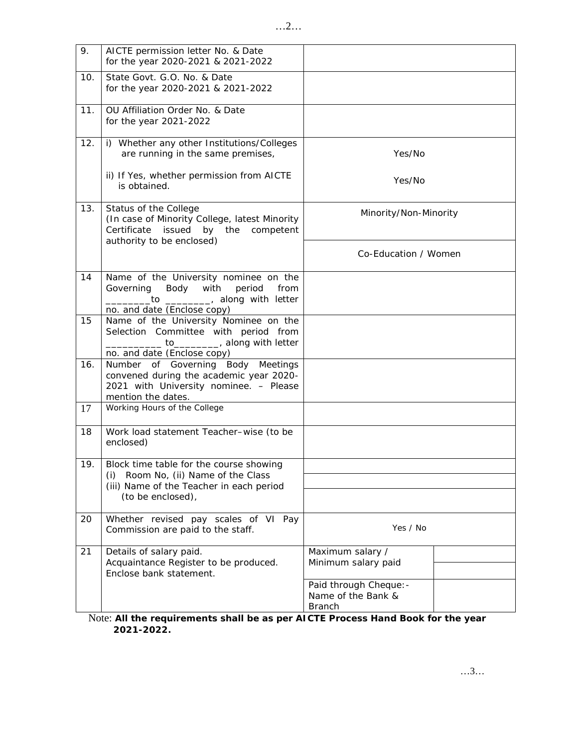| 9.  | AICTE permission letter No. & Date<br>for the year 2020-2021 & 2021-2022                                                                            |                                                               |  |
|-----|-----------------------------------------------------------------------------------------------------------------------------------------------------|---------------------------------------------------------------|--|
| 10. | State Govt. G.O. No. & Date<br>for the year 2020-2021 & 2021-2022                                                                                   |                                                               |  |
| 11. | OU Affiliation Order No. & Date<br>for the year 2021-2022                                                                                           |                                                               |  |
| 12. | i) Whether any other Institutions/Colleges<br>are running in the same premises,                                                                     | Yes/No                                                        |  |
|     | ii) If Yes, whether permission from AICTE<br>is obtained.                                                                                           | Yes/No                                                        |  |
| 13. | Status of the College<br>(In case of Minority College, latest Minority<br>Certificate<br>issued<br>by the<br>competent<br>authority to be enclosed) | Minority/Non-Minority                                         |  |
|     |                                                                                                                                                     | Co-Education / Women                                          |  |
| 14  | Name of the University nominee on the<br>Governing<br>Body with period<br>from<br>to _________, along with letter<br>no. and date (Enclose copy)    |                                                               |  |
| 15  | Name of the University Nominee on the<br>Selection Committee with period from<br>to_________, along with letter<br>no. and date (Enclose copy)      |                                                               |  |
| 16. | Number of Governing Body Meetings<br>convened during the academic year 2020-<br>2021 with University nominee. - Please<br>mention the dates.        |                                                               |  |
| 17  | Working Hours of the College                                                                                                                        |                                                               |  |
| 18  | Work load statement Teacher-wise (to be<br>enclosed)                                                                                                |                                                               |  |
| 19. | Block time table for the course showing<br>Room No, (ii) Name of the Class<br>(i)                                                                   |                                                               |  |
|     | (iii) Name of the Teacher in each period<br>(to be enclosed),                                                                                       |                                                               |  |
| 20  | Whether revised pay scales of VI Pay<br>Commission are paid to the staff.                                                                           | Yes / No                                                      |  |
| 21  | Details of salary paid.<br>Acquaintance Register to be produced.<br>Enclose bank statement.                                                         | Maximum salary /<br>Minimum salary paid                       |  |
|     |                                                                                                                                                     | Paid through Cheque: -<br>Name of the Bank &<br><b>Branch</b> |  |

Note: **All the requirements shall be as per AICTE Process Hand Book for the year 2021-2022.**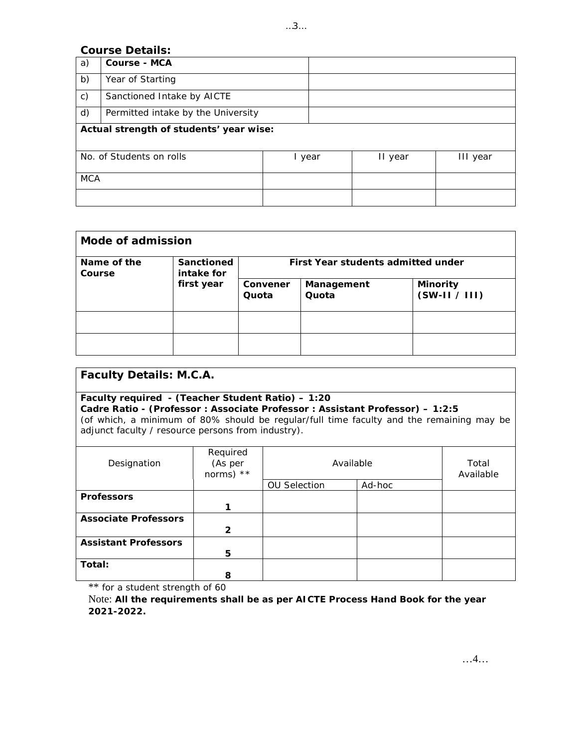# **Course Details:**

| a)                                      | Course - MCA                       |  |      |         |          |
|-----------------------------------------|------------------------------------|--|------|---------|----------|
| b)                                      | Year of Starting                   |  |      |         |          |
| $\mathsf{C}$ )                          | Sanctioned Intake by AICTE         |  |      |         |          |
| d)                                      | Permitted intake by the University |  |      |         |          |
| Actual strength of students' year wise: |                                    |  |      |         |          |
|                                         | No. of Students on rolls           |  | year | II year | III year |
| <b>MCA</b>                              |                                    |  |      |         |          |
|                                         |                                    |  |      |         |          |

| Mode of admission     |                          |                                    |                     |                                |  |  |  |
|-----------------------|--------------------------|------------------------------------|---------------------|--------------------------------|--|--|--|
| Name of the<br>Course | Sanctioned<br>intake for | First Year students admitted under |                     |                                |  |  |  |
|                       | first year               | Convener<br>Quota                  | Management<br>Quota | Minority<br>$(SW-II \mid III)$ |  |  |  |
|                       |                          |                                    |                     |                                |  |  |  |
|                       |                          |                                    |                     |                                |  |  |  |

| Faculty Details: M.C.A. |
|-------------------------|
|-------------------------|

| Faculty required $-$ (Teacher Student Ratio) $-1:20$                                     |
|------------------------------------------------------------------------------------------|
| Cadre Ratio - (Professor : Associate Professor : Assistant Professor) – 1:2:5            |
| (of which, a minimum of 80% should be regular/full time faculty and the remaining may be |
| adjunct faculty / resource persons from industry).                                       |
|                                                                                          |

| Designation                 | Required<br>(As per<br>norms) $**$ | Available           | Total<br>Available |  |  |
|-----------------------------|------------------------------------|---------------------|--------------------|--|--|
|                             |                                    | <b>OU Selection</b> | Ad-hoc             |  |  |
| Professors                  |                                    |                     |                    |  |  |
|                             |                                    |                     |                    |  |  |
| Associate Professors        |                                    |                     |                    |  |  |
|                             | 2                                  |                     |                    |  |  |
| <b>Assistant Professors</b> |                                    |                     |                    |  |  |
|                             | 5                                  |                     |                    |  |  |
| Total:                      |                                    |                     |                    |  |  |
|                             | 8                                  |                     |                    |  |  |

\*\* for a student strength of 60

Note: **All the requirements shall be as per AICTE Process Hand Book for the year 2021-2022.**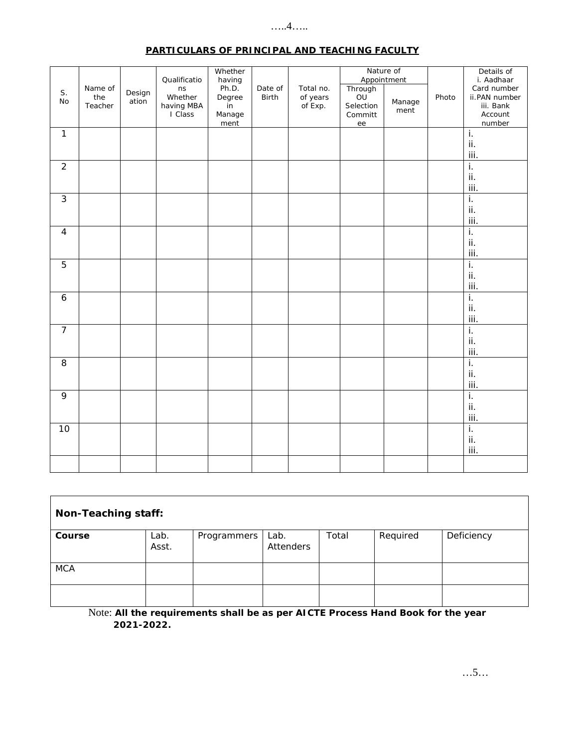## $\dots$ .4. $\dots$

|--|

| S.               | Name of        | Design | Qualificatio<br>ns               | Whether<br>having<br>Ph.D. | Date of      | Total no.           | Through                    | Nature of<br>Appointment |       | Details of<br>i. Aadhaar<br>Card number |
|------------------|----------------|--------|----------------------------------|----------------------------|--------------|---------------------|----------------------------|--------------------------|-------|-----------------------------------------|
| $\rm No$         | the<br>Teacher | ation  | Whether<br>having MBA<br>I Class | Degree<br>in<br>Manage     | <b>Birth</b> | of years<br>of Exp. | OU<br>Selection<br>Committ | Manage<br>ment           | Photo | ii.PAN number<br>iii. Bank<br>Account   |
|                  |                |        |                                  | ment                       |              |                     | ee                         |                          |       | number                                  |
| $\mathbf{1}$     |                |        |                                  |                            |              |                     |                            |                          |       | $\overline{1}$ .                        |
|                  |                |        |                                  |                            |              |                     |                            |                          |       | ii.                                     |
|                  |                |        |                                  |                            |              |                     |                            |                          |       | iii.                                    |
| $\overline{2}$   |                |        |                                  |                            |              |                     |                            |                          |       | ī.                                      |
|                  |                |        |                                  |                            |              |                     |                            |                          |       | ii.                                     |
|                  |                |        |                                  |                            |              |                     |                            |                          |       | iii.                                    |
| $\mathfrak{Z}$   |                |        |                                  |                            |              |                     |                            |                          |       | i.                                      |
|                  |                |        |                                  |                            |              |                     |                            |                          |       |                                         |
|                  |                |        |                                  |                            |              |                     |                            |                          |       | ii.                                     |
|                  |                |        |                                  |                            |              |                     |                            |                          |       | iii.                                    |
| $\overline{4}$   |                |        |                                  |                            |              |                     |                            |                          |       | i.                                      |
|                  |                |        |                                  |                            |              |                     |                            |                          |       | ii.                                     |
|                  |                |        |                                  |                            |              |                     |                            |                          |       | iii.                                    |
| $\overline{5}$   |                |        |                                  |                            |              |                     |                            |                          |       | i.                                      |
|                  |                |        |                                  |                            |              |                     |                            |                          |       | ii.                                     |
|                  |                |        |                                  |                            |              |                     |                            |                          |       | iii.                                    |
| $\boldsymbol{6}$ |                |        |                                  |                            |              |                     |                            |                          |       | ī.                                      |
|                  |                |        |                                  |                            |              |                     |                            |                          |       | ii.                                     |
|                  |                |        |                                  |                            |              |                     |                            |                          |       | iii.                                    |
| $\overline{7}$   |                |        |                                  |                            |              |                     |                            |                          |       | $\overline{\mathbf{i}}$ .               |
|                  |                |        |                                  |                            |              |                     |                            |                          |       | ii.                                     |
|                  |                |        |                                  |                            |              |                     |                            |                          |       | iii.                                    |
| 8                |                |        |                                  |                            |              |                     |                            |                          |       | i.                                      |
|                  |                |        |                                  |                            |              |                     |                            |                          |       | ii.                                     |
|                  |                |        |                                  |                            |              |                     |                            |                          |       |                                         |
|                  |                |        |                                  |                            |              |                     |                            |                          |       | iii.                                    |
| 9                |                |        |                                  |                            |              |                     |                            |                          |       | i.                                      |
|                  |                |        |                                  |                            |              |                     |                            |                          |       | ii.                                     |
|                  |                |        |                                  |                            |              |                     |                            |                          |       | iii.                                    |
| 10               |                |        |                                  |                            |              |                     |                            |                          |       | $\overline{\mathbf{i}}$ .               |
|                  |                |        |                                  |                            |              |                     |                            |                          |       | ii.                                     |
|                  |                |        |                                  |                            |              |                     |                            |                          |       | iii.                                    |
|                  |                |        |                                  |                            |              |                     |                            |                          |       |                                         |
|                  |                |        |                                  |                            |              |                     |                            |                          |       |                                         |

| Non-Teaching staff: |               |             |                   |       |          |            |  |
|---------------------|---------------|-------------|-------------------|-------|----------|------------|--|
| Course              | Lab.<br>Asst. | Programmers | Lab.<br>Attenders | Total | Required | Deficiency |  |
| <b>MCA</b>          |               |             |                   |       |          |            |  |
|                     |               |             |                   |       |          |            |  |

Note: All the requirements shall be as per AICTE Process Hand Book for the year 2021-2022.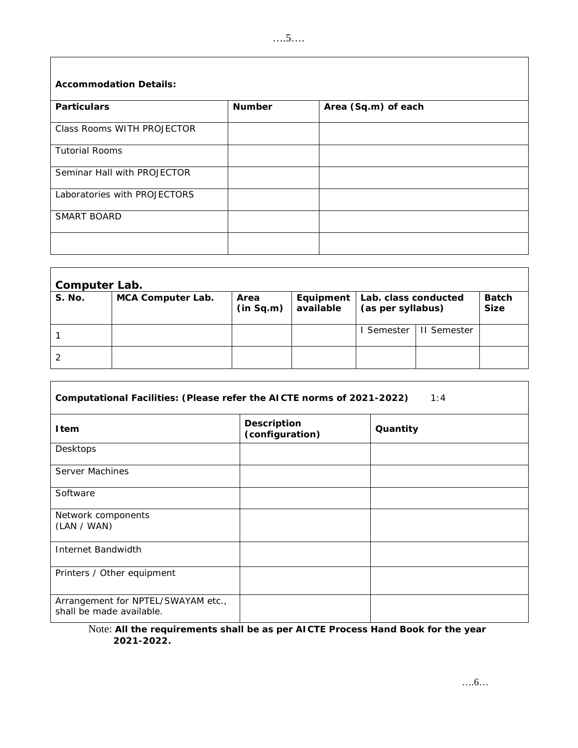| Accommodation Details:       |        |                     |
|------------------------------|--------|---------------------|
| Particulars                  | Number | Area (Sq.m) of each |
| Class Rooms WITH PROJECTOR   |        |                     |
| <b>Tutorial Rooms</b>        |        |                     |
| Seminar Hall with PROJECTOR  |        |                     |
| Laboratories with PROJECTORS |        |                     |
| SMART BOARD                  |        |                     |
|                              |        |                     |

| Computer Lab. |                   |           |           |                      |                    |       |  |  |  |
|---------------|-------------------|-----------|-----------|----------------------|--------------------|-------|--|--|--|
| S. No.        | MCA Computer Lab. | Area      | Equipment | Lab. class conducted |                    | Batch |  |  |  |
|               |                   | (in Sq.m) | available | (as per syllabus)    |                    | Size  |  |  |  |
|               |                   |           |           | I Semester           | <b>II</b> Semester |       |  |  |  |
|               |                   |           |           |                      |                    |       |  |  |  |

 $\overline{\Gamma}$ 

| Computational Facilities: (Please refer the AICTE norms of 2021-2022)<br>1:4 |                                |          |  |
|------------------------------------------------------------------------------|--------------------------------|----------|--|
| I tem                                                                        | Description<br>(configuration) | Quantity |  |
| Desktops                                                                     |                                |          |  |
| Server Machines                                                              |                                |          |  |
| Software                                                                     |                                |          |  |
| Network components<br>(LAN / WAN)                                            |                                |          |  |
| Internet Bandwidth                                                           |                                |          |  |
| Printers / Other equipment                                                   |                                |          |  |
| Arrangement for NPTEL/SWAYAM etc.,<br>shall be made available.               |                                |          |  |

Note: **All the requirements shall be as per AICTE Process Hand Book for the year 2021-2022.**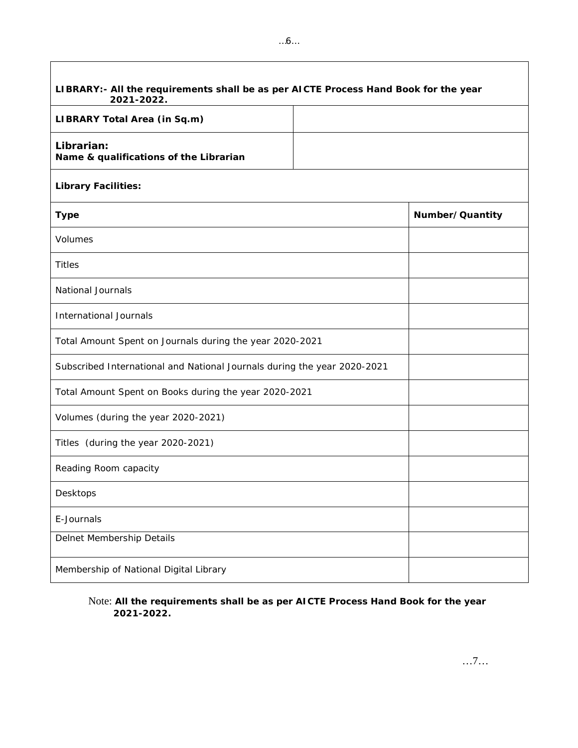| LIBRARY: - All the requirements shall be as per AICTE Process Hand Book for the year<br>2021-2022. |  |                 |
|----------------------------------------------------------------------------------------------------|--|-----------------|
| LIBRARY Total Area (in Sq.m)                                                                       |  |                 |
| Librarian:<br>Name & qualifications of the Librarian                                               |  |                 |
| Library Facilities:                                                                                |  |                 |
| Type                                                                                               |  | Number/Quantity |
| Volumes                                                                                            |  |                 |
| <b>Titles</b>                                                                                      |  |                 |
| National Journals                                                                                  |  |                 |
| International Journals                                                                             |  |                 |
| Total Amount Spent on Journals during the year 2020-2021                                           |  |                 |
| Subscribed International and National Journals during the year 2020-2021                           |  |                 |
| Total Amount Spent on Books during the year 2020-2021                                              |  |                 |
| Volumes (during the year 2020-2021)                                                                |  |                 |
| Titles (during the year 2020-2021)                                                                 |  |                 |
| Reading Room capacity                                                                              |  |                 |
| Desktops                                                                                           |  |                 |
| E-Journals                                                                                         |  |                 |
| Delnet Membership Details                                                                          |  |                 |
| Membership of National Digital Library                                                             |  |                 |

Note: **All the requirements shall be as per AICTE Process Hand Book for the year 2021-2022.**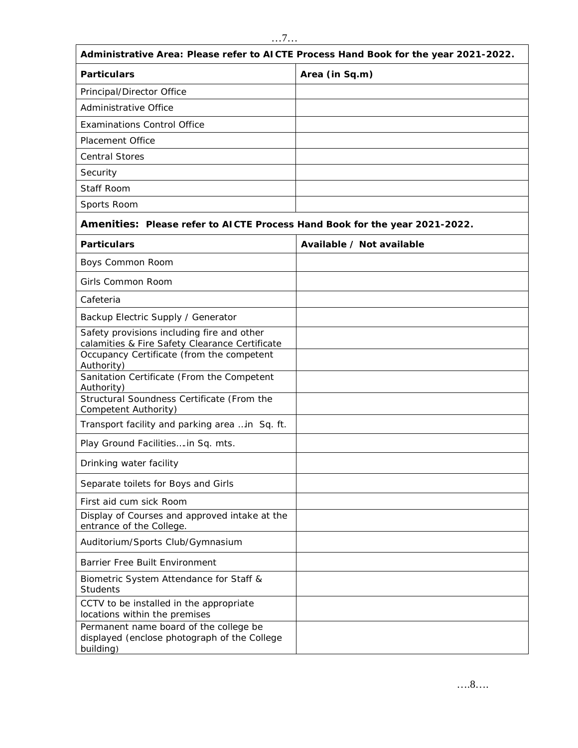|                                                                                                     | Administrative Area: Please refer to AICTE Process Hand Book for the year 2021-2022. |
|-----------------------------------------------------------------------------------------------------|--------------------------------------------------------------------------------------|
| Particulars                                                                                         | Area (in Sq.m)                                                                       |
| Principal/Director Office                                                                           |                                                                                      |
| Administrative Office                                                                               |                                                                                      |
| <b>Examinations Control Office</b>                                                                  |                                                                                      |
| <b>Placement Office</b>                                                                             |                                                                                      |
| <b>Central Stores</b>                                                                               |                                                                                      |
| Security                                                                                            |                                                                                      |
| Staff Room                                                                                          |                                                                                      |
| Sports Room                                                                                         |                                                                                      |
| Amenities: Please refer to AICTE Process Hand Book for the year 2021-2022.                          |                                                                                      |
| Particulars                                                                                         | Available / Not available                                                            |
| Boys Common Room                                                                                    |                                                                                      |
| Girls Common Room                                                                                   |                                                                                      |
| Cafeteria                                                                                           |                                                                                      |
| Backup Electric Supply / Generator                                                                  |                                                                                      |
| Safety provisions including fire and other<br>calamities & Fire Safety Clearance Certificate        |                                                                                      |
| Occupancy Certificate (from the competent<br>Authority)                                             |                                                                                      |
| Sanitation Certificate (From the Competent<br>Authority)                                            |                                                                                      |
| Structural Soundness Certificate (From the<br>Competent Authority)                                  |                                                                                      |
| Transport facility and parking area  in Sq. ft.                                                     |                                                                                      |
| Play Ground Facilities in Sq. mts.                                                                  |                                                                                      |
| Drinking water facility                                                                             |                                                                                      |
| Separate toilets for Boys and Girls                                                                 |                                                                                      |
| First aid cum sick Room                                                                             |                                                                                      |
| Display of Courses and approved intake at the<br>entrance of the College.                           |                                                                                      |
| Auditorium/Sports Club/Gymnasium                                                                    |                                                                                      |
| Barrier Free Built Environment                                                                      |                                                                                      |
| Biometric System Attendance for Staff &<br>Students                                                 |                                                                                      |
| CCTV to be installed in the appropriate<br>locations within the premises                            |                                                                                      |
| Permanent name board of the college be<br>displayed (enclose photograph of the College<br>building) |                                                                                      |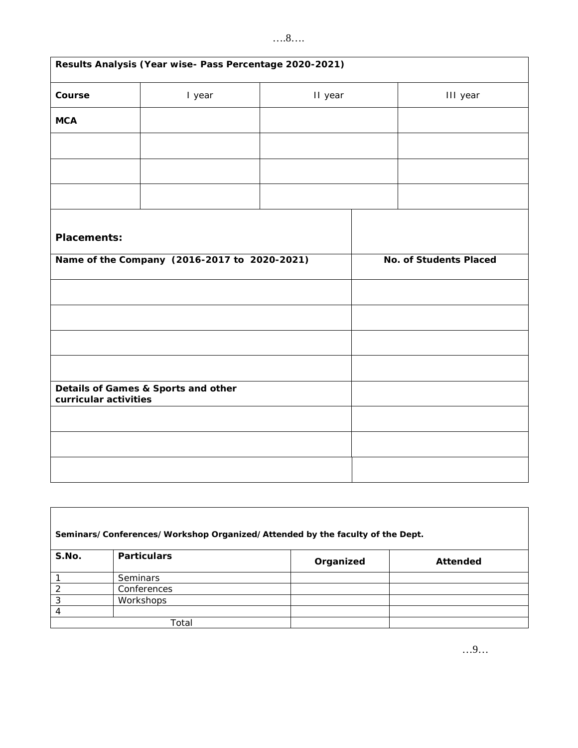# ….8….

| Results Analysis (Year wise- Pass Percentage 2020-2021) |                                              |         |  |                        |
|---------------------------------------------------------|----------------------------------------------|---------|--|------------------------|
| Course                                                  | I year                                       | II year |  | III year               |
| <b>MCA</b>                                              |                                              |         |  |                        |
|                                                         |                                              |         |  |                        |
|                                                         |                                              |         |  |                        |
|                                                         |                                              |         |  |                        |
| Placements:                                             |                                              |         |  |                        |
|                                                         | Name of the Company (2016-2017 to 2020-2021) |         |  | No. of Students Placed |
|                                                         |                                              |         |  |                        |
|                                                         |                                              |         |  |                        |
|                                                         |                                              |         |  |                        |
|                                                         |                                              |         |  |                        |
| curricular activities                                   | Details of Games & Sports and other          |         |  |                        |
|                                                         |                                              |         |  |                        |
|                                                         |                                              |         |  |                        |
|                                                         |                                              |         |  |                        |

|       | Seminars/Conferences/Workshop Organized/Attended by the faculty of the Dept. |           |          |
|-------|------------------------------------------------------------------------------|-----------|----------|
| S.No. | <b>Particulars</b>                                                           | Organized | Attended |
|       | <b>Seminars</b>                                                              |           |          |
|       | Conferences                                                                  |           |          |
| 3     | Workshops                                                                    |           |          |
| 4     |                                                                              |           |          |
|       | Total                                                                        |           |          |

…9…